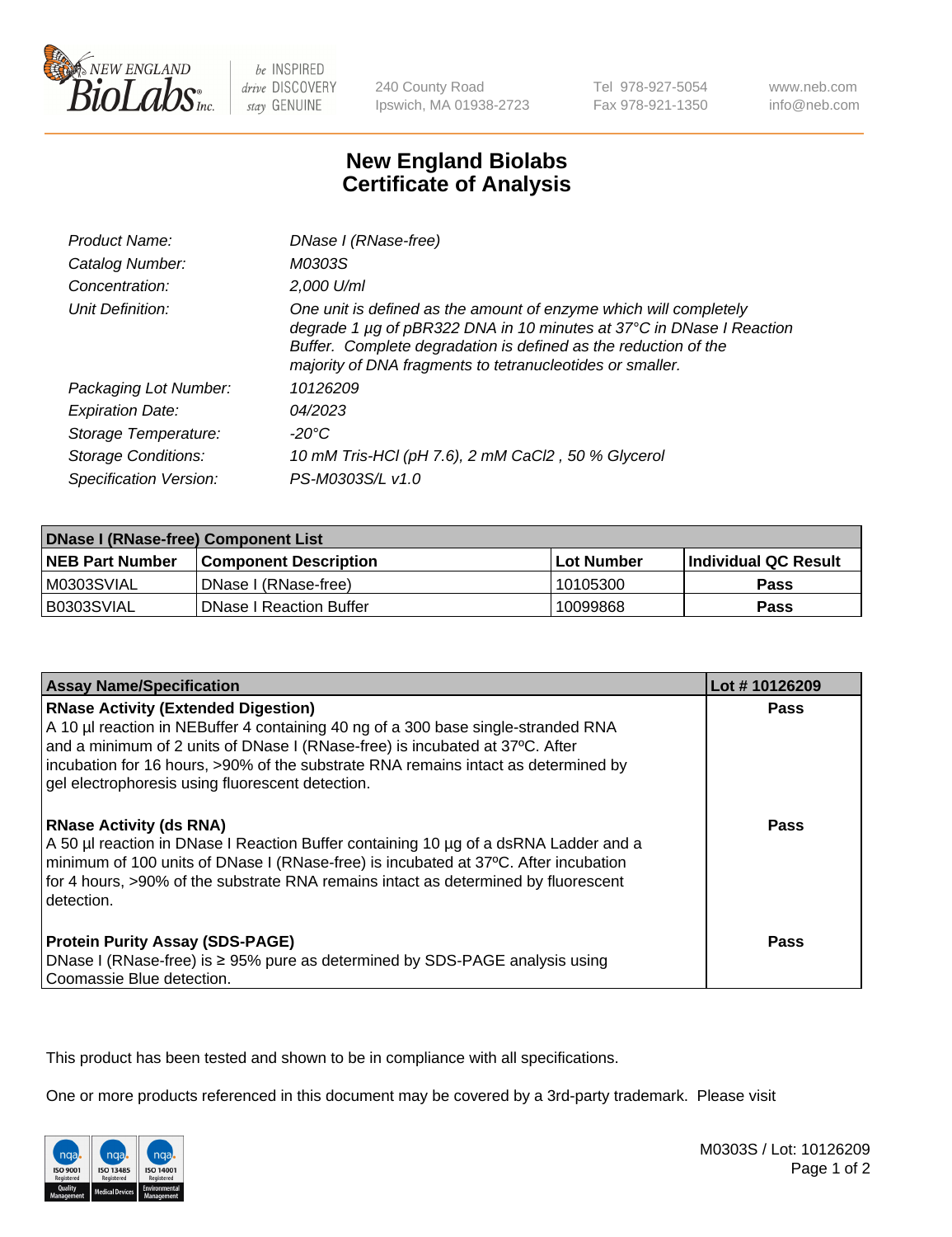

be INSPIRED drive DISCOVERY stay GENUINE

240 County Road Ipswich, MA 01938-2723 Tel 978-927-5054 Fax 978-921-1350

www.neb.com info@neb.com

## **New England Biolabs Certificate of Analysis**

| Product Name:              | DNase I (RNase-free)                                                                                                                                                                                                                                                      |
|----------------------------|---------------------------------------------------------------------------------------------------------------------------------------------------------------------------------------------------------------------------------------------------------------------------|
| Catalog Number:            | M0303S                                                                                                                                                                                                                                                                    |
| Concentration:             | 2,000 U/ml                                                                                                                                                                                                                                                                |
| Unit Definition:           | One unit is defined as the amount of enzyme which will completely<br>degrade 1 µg of pBR322 DNA in 10 minutes at 37°C in DNase I Reaction<br>Buffer. Complete degradation is defined as the reduction of the<br>majority of DNA fragments to tetranucleotides or smaller. |
| Packaging Lot Number:      | 10126209                                                                                                                                                                                                                                                                  |
| <b>Expiration Date:</b>    | 04/2023                                                                                                                                                                                                                                                                   |
| Storage Temperature:       | -20°C                                                                                                                                                                                                                                                                     |
| <b>Storage Conditions:</b> | 10 mM Tris-HCl (pH 7.6), 2 mM CaCl2, 50 % Glycerol                                                                                                                                                                                                                        |
| Specification Version:     | PS-M0303S/L v1.0                                                                                                                                                                                                                                                          |

| DNase I (RNase-free) Component List |                              |            |                             |  |  |
|-------------------------------------|------------------------------|------------|-----------------------------|--|--|
| <b>NEB Part Number</b>              | <b>Component Description</b> | Lot Number | <b>Individual QC Result</b> |  |  |
| M0303SVIAL                          | DNase I (RNase-free)         | 10105300   | <b>Pass</b>                 |  |  |
| I B0303SVIAL                        | l DNase I Reaction Buffer    | 10099868   | <b>Pass</b>                 |  |  |

| <b>Assay Name/Specification</b>                                                                                                                                                                                                                                                                                                                           | Lot #10126209 |
|-----------------------------------------------------------------------------------------------------------------------------------------------------------------------------------------------------------------------------------------------------------------------------------------------------------------------------------------------------------|---------------|
| <b>RNase Activity (Extended Digestion)</b><br>A 10 µl reaction in NEBuffer 4 containing 40 ng of a 300 base single-stranded RNA<br>and a minimum of 2 units of DNase I (RNase-free) is incubated at 37°C. After<br>incubation for 16 hours, >90% of the substrate RNA remains intact as determined by<br>gel electrophoresis using fluorescent detection. | <b>Pass</b>   |
| <b>RNase Activity (ds RNA)</b><br>A 50 µl reaction in DNase I Reaction Buffer containing 10 µg of a dsRNA Ladder and a<br>minimum of 100 units of DNase I (RNase-free) is incubated at 37°C. After incubation<br>for 4 hours, >90% of the substrate RNA remains intact as determined by fluorescent<br>detection.                                         | Pass          |
| <b>Protein Purity Assay (SDS-PAGE)</b><br>DNase I (RNase-free) is ≥ 95% pure as determined by SDS-PAGE analysis using<br>Coomassie Blue detection.                                                                                                                                                                                                        | Pass          |

This product has been tested and shown to be in compliance with all specifications.

One or more products referenced in this document may be covered by a 3rd-party trademark. Please visit